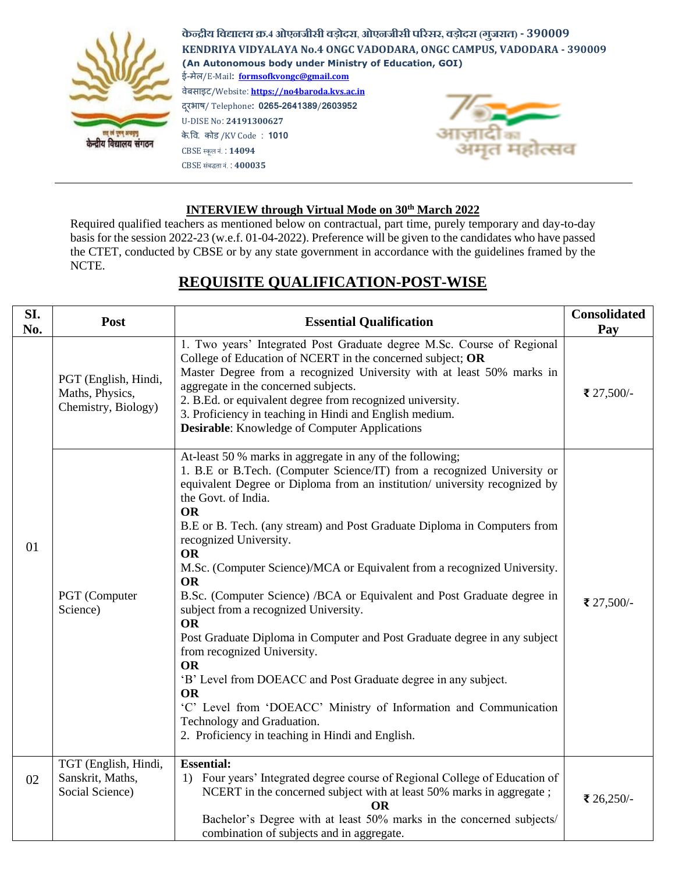

**केन्द्रीय विद्यालय क्र.4 ओएनजीसी िड़ोदरा**, **ओएनजीसी पररसर, िड़ोदरा (गजुरात) - 390009 KENDRIYA VIDYALAYA No.4 ONGC VADODARA, ONGC CAMPUS, VADODARA - 390009 (An Autonomous body under Ministry of Education, GOI)** ई-मेल/E-Mail**: formsofkvongc@gmail.com** वेबसाइट/Website: **[https://no4baroda.kvs.ac.in](https://no4baroda.kvs.ac.in/)** दरूभाष/ Telephone**: 0265-2641389**/**2603952** U-DISE No: **24191300627** के.वव. कोड /KV Code : **1010** CBSE स्कूल नं. : **14094** CBSE संबद्धतानं. : **400035**

## **INTERVIEW through Virtual Mode on 30th March 2022**

Required qualified teachers as mentioned below on contractual, part time, purely temporary and day-to-day basis for the session 2022-23 (w.e.f. 01-04-2022). Preference will be given to the candidates who have passed the CTET, conducted by CBSE or by any state government in accordance with the guidelines framed by the NCTE.

| SI.<br>No. | Post                                                           | <b>Essential Qualification</b>                                                                                                                                                                                                                                                                                                                                                                                                                                                                                                                                                                                                                                                                                                                                                                                                                                                                                                                                     | <b>Consolidated</b><br>Pay |
|------------|----------------------------------------------------------------|--------------------------------------------------------------------------------------------------------------------------------------------------------------------------------------------------------------------------------------------------------------------------------------------------------------------------------------------------------------------------------------------------------------------------------------------------------------------------------------------------------------------------------------------------------------------------------------------------------------------------------------------------------------------------------------------------------------------------------------------------------------------------------------------------------------------------------------------------------------------------------------------------------------------------------------------------------------------|----------------------------|
| 01         | PGT (English, Hindi,<br>Maths, Physics,<br>Chemistry, Biology) | 1. Two years' Integrated Post Graduate degree M.Sc. Course of Regional<br>College of Education of NCERT in the concerned subject; OR<br>Master Degree from a recognized University with at least 50% marks in<br>aggregate in the concerned subjects.<br>2. B.Ed. or equivalent degree from recognized university.<br>3. Proficiency in teaching in Hindi and English medium.<br><b>Desirable:</b> Knowledge of Computer Applications                                                                                                                                                                                                                                                                                                                                                                                                                                                                                                                              | ₹ 27,500/-                 |
|            | PGT (Computer<br>Science)                                      | At-least 50 % marks in aggregate in any of the following;<br>1. B.E or B.Tech. (Computer Science/IT) from a recognized University or<br>equivalent Degree or Diploma from an institution/ university recognized by<br>the Govt. of India.<br><b>OR</b><br>B.E or B. Tech. (any stream) and Post Graduate Diploma in Computers from<br>recognized University.<br><b>OR</b><br>M.Sc. (Computer Science)/MCA or Equivalent from a recognized University.<br><b>OR</b><br>B.Sc. (Computer Science) /BCA or Equivalent and Post Graduate degree in<br>subject from a recognized University.<br><b>OR</b><br>Post Graduate Diploma in Computer and Post Graduate degree in any subject<br>from recognized University.<br><b>OR</b><br>'B' Level from DOEACC and Post Graduate degree in any subject.<br><b>OR</b><br>'C' Level from 'DOEACC' Ministry of Information and Communication<br>Technology and Graduation.<br>2. Proficiency in teaching in Hindi and English. | ₹ 27,500/-                 |
| 02         | TGT (English, Hindi,<br>Sanskrit, Maths,<br>Social Science)    | <b>Essential:</b><br>1) Four years' Integrated degree course of Regional College of Education of<br>NCERT in the concerned subject with at least 50% marks in aggregate;<br><b>OR</b><br>Bachelor's Degree with at least 50% marks in the concerned subjects/<br>combination of subjects and in aggregate.                                                                                                                                                                                                                                                                                                                                                                                                                                                                                                                                                                                                                                                         | ₹ 26,250/-                 |

## **REQUISITE QUALIFICATION-POST-WISE**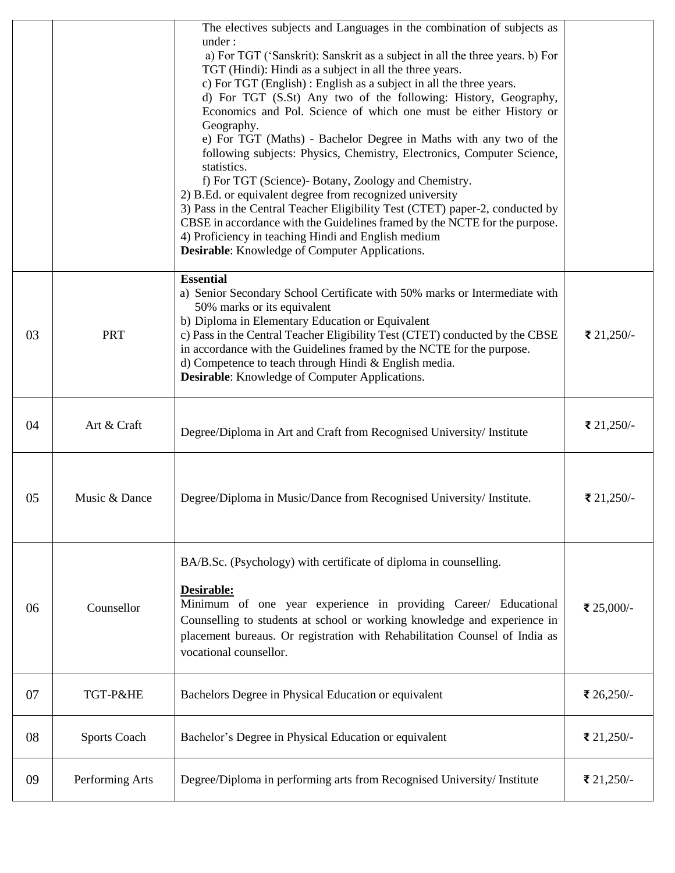|    |                     | The electives subjects and Languages in the combination of subjects as<br>under:<br>a) For TGT ('Sanskrit): Sanskrit as a subject in all the three years. b) For<br>TGT (Hindi): Hindi as a subject in all the three years.<br>c) For TGT (English) : English as a subject in all the three years.<br>d) For TGT (S.St) Any two of the following: History, Geography,<br>Economics and Pol. Science of which one must be either History or<br>Geography.<br>e) For TGT (Maths) - Bachelor Degree in Maths with any two of the<br>following subjects: Physics, Chemistry, Electronics, Computer Science,<br>statistics.<br>f) For TGT (Science)- Botany, Zoology and Chemistry.<br>2) B.Ed. or equivalent degree from recognized university<br>3) Pass in the Central Teacher Eligibility Test (CTET) paper-2, conducted by |            |
|----|---------------------|----------------------------------------------------------------------------------------------------------------------------------------------------------------------------------------------------------------------------------------------------------------------------------------------------------------------------------------------------------------------------------------------------------------------------------------------------------------------------------------------------------------------------------------------------------------------------------------------------------------------------------------------------------------------------------------------------------------------------------------------------------------------------------------------------------------------------|------------|
|    |                     | CBSE in accordance with the Guidelines framed by the NCTE for the purpose.<br>4) Proficiency in teaching Hindi and English medium<br><b>Desirable:</b> Knowledge of Computer Applications.                                                                                                                                                                                                                                                                                                                                                                                                                                                                                                                                                                                                                                 |            |
| 03 | <b>PRT</b>          | <b>Essential</b><br>a) Senior Secondary School Certificate with 50% marks or Intermediate with<br>50% marks or its equivalent<br>b) Diploma in Elementary Education or Equivalent<br>c) Pass in the Central Teacher Eligibility Test (CTET) conducted by the CBSE<br>in accordance with the Guidelines framed by the NCTE for the purpose.<br>d) Competence to teach through Hindi & English media.<br><b>Desirable:</b> Knowledge of Computer Applications.                                                                                                                                                                                                                                                                                                                                                               | ₹ 21,250/- |
| 04 | Art & Craft         | Degree/Diploma in Art and Craft from Recognised University/ Institute                                                                                                                                                                                                                                                                                                                                                                                                                                                                                                                                                                                                                                                                                                                                                      | ₹ 21,250/- |
| 05 | Music & Dance       | Degree/Diploma in Music/Dance from Recognised University/ Institute.                                                                                                                                                                                                                                                                                                                                                                                                                                                                                                                                                                                                                                                                                                                                                       | ₹ 21,250/- |
| 06 | Counsellor          | BA/B.Sc. (Psychology) with certificate of diploma in counselling.<br>Desirable:<br>Minimum of one year experience in providing Career/ Educational<br>Counselling to students at school or working knowledge and experience in<br>placement bureaus. Or registration with Rehabilitation Counsel of India as<br>vocational counsellor.                                                                                                                                                                                                                                                                                                                                                                                                                                                                                     | ₹ 25,000/- |
| 07 | TGT-P&HE            | Bachelors Degree in Physical Education or equivalent                                                                                                                                                                                                                                                                                                                                                                                                                                                                                                                                                                                                                                                                                                                                                                       | ₹ 26,250/- |
| 08 | <b>Sports Coach</b> | Bachelor's Degree in Physical Education or equivalent                                                                                                                                                                                                                                                                                                                                                                                                                                                                                                                                                                                                                                                                                                                                                                      | ₹ 21,250/- |
| 09 | Performing Arts     | Degree/Diploma in performing arts from Recognised University/ Institute                                                                                                                                                                                                                                                                                                                                                                                                                                                                                                                                                                                                                                                                                                                                                    | ₹ 21,250/- |